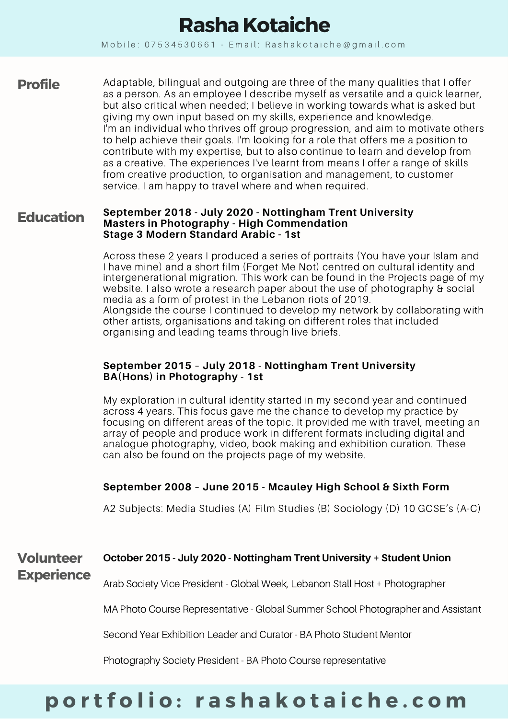# **Rasha Kotaiche**

Mobile:  $07534530661$  - Email: Rashakotaiche@gmail.com

**Profile** Adaptable, bilingual and outgoing are three of the many qualities that I offer as a person. As an employee I describe myself as versatile and a quick learner, but also critical when needed; I believe in working towards what is asked but giving my own input based on my skills, experience and knowledge. I'm an individual who thrives off group progression, and aim to motivate others to help achieve their goals. I'm looking for a role that offers me a position to contribute with my expertise, but to also continue to learn and develop from as a creative. The experiences I've learnt from means I offer a range of skills from creative production, to organisation and management, to customer service. I am happy to travel where and when required.

#### **September 2018 - July 2020 - Nottingham Trent University Masters in Photography - High Commendation Stage 3 Modern Standard Arabic - 1st Education**

Across these 2 years I produced a series of portraits (You have your Islam and I have mine) and a short film (Forget Me Not) centred on cultural identity and intergenerational migration. This work can be found in the Projects page of my website. I also wrote a research paper about the use of photography & social media as a form of protest in the Lebanon riots of 2019. Alongside the course I continued to develop my network by collaborating with other artists, organisations and taking on different roles that included organising and leading teams through live briefs.

## **September 2015 – July 2018 - Nottingham Trent University BA(Hons) in Photography - 1st**

My exploration in cultural identity started in my second year and continued across 4 years. This focus gave me the chance to develop my practice by focusing on different areas of the topic. It provided me with travel, meeting an array of people and produce work in different formats including digital and analogue photography, video, book making and exhibition curation. These can also be found on the projects page of my website.

# **September 2008 – June 2015 - Mcauley High School & Sixth Form**

A2 Subjects: Media Studies (A) Film Studies (B) Sociology (D) 10 GCSE's (A-C)

#### **October 2015 - July 2020 - Nottingham Trent University + Student Union Volunteer**

# **Experience**

Arab Society Vice President - Global Week, Lebanon Stall Host + Photographer

MA Photo Course Representative - Global Summer School Photographer and Assistant

Second Year Exhibition Leader and Curator - BA Photo Student Mentor

Photography Society President - BA Photo Course representative

# portfolio: rashakotaiche.com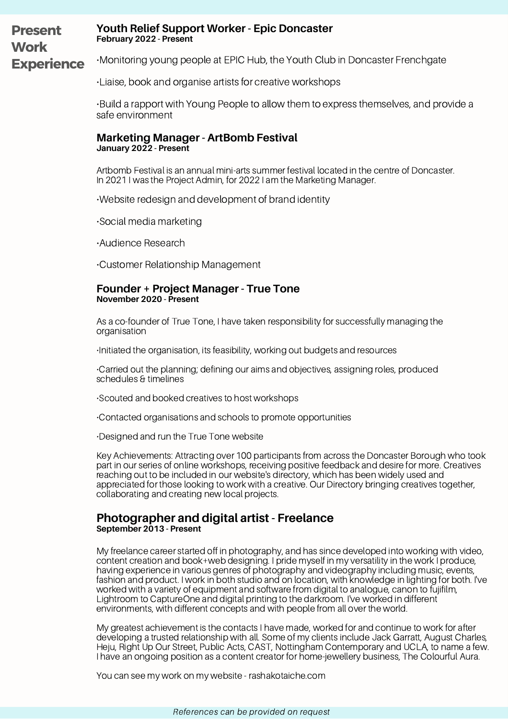#### **Youth Relief Support Worker - Epic Doncaster February 2022 - Present** •Monitoring young people at EPIC Hub, the Youth Club in Doncaster Frenchgate **Present Work Experience**

•Liaise, book and organise artists for creative workshops

•Build a rapport with Young People to allow them to express themselves, and provide a safe environment

## **Marketing Manager - ArtBomb Festival January 2022 - Present**

Artbomb Festival is an annual mini-arts summer festival located in the centre of Doncaster. In 2021 I was the Project Admin, for 2022 I am the Marketing Manager.

•Website redesign and development of brand identity

•Social media marketing

•Audience Research

•Customer Relationship Management

### **Founder + Project Manager - True Tone November 2020 - Present**

As a co-founder of True Tone, I have taken responsibility for successfully managing the organisation

•Initiated the organisation, its feasibility, working out budgets and resources

•Carried out the planning; defining our aims and objectives, assigning roles, produced schedules & timelines

•Scouted and booked creatives to host workshops

•Contacted organisations and schools to promote opportunities

•Designed and run the True Tone website

Key Achievements: Attracting over 100 participants from across the Doncaster Borough who took part in our series of online workshops, receiving positive feedback and desire for more. Creatives reaching out to be included in our website's directory, which has been widely used and appreciated for those looking to work with a creative. Our Directory bringing creatives together, collaborating and creating new local projects.

## **Photographer and digital artist - Freelance September 2013 - Present**

My freelance career started off in photography, and has since developed into working with video, content creation and book+web designing. I pride myself in my versatility in the work I produce, having experience in various genres of photography and videography including music, events, fashion and product. I work in both studio and on location, with knowledge in lighting for both. I've worked with a variety of equipment and software from digital to analogue, canon to fujifilm, Lightroom to CaptureOne and digital printing to the darkroom. I've worked in different environments, with different concepts and with people from all over the world.

My greatest achievement is the contacts I have made, worked for and continue to work for after developing a trusted relationship with all. Some of my clients include Jack Garratt, August Charles, Heju, Right Up Our Street, Public Acts, CAST, Nottingham Contemporary and UCLA, to name a few. I have an ongoing position as a content creator for home-jewellery business, The Colourful Aura.

You can see my work on my website - rashakotaiche.com